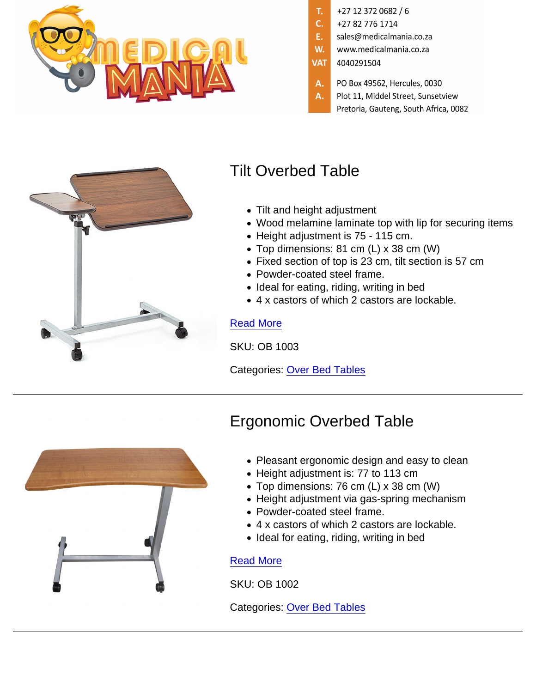# Tilt Overbed Table

- Tilt and height adjustment
- Wood melamine laminate top with lip for securing items
- Height adjustment is 75 115 cm.
- Top dimensions: 81 cm (L) x 38 cm (W)
- Fixed section of top is 23 cm, tilt section is 57 cm
- Powder-coated steel frame.
- Ideal for eating, riding, writing in bed
- 4 x castors of which 2 castors are lockable.

#### [Read More](https://www.medicalmania.co.za/product/tilt-overbed-table/)

SKU: OB 1003

Categories: [Over Bed Tables](https://www.medicalmania.co.za/product-category/furniture/tables-trolleys/over-bed-tables/)

## Ergonomic Overbed Table

- Pleasant ergonomic design and easy to clean
- Height adjustment is: 77 to 113 cm
- Top dimensions: 76 cm (L) x 38 cm (W)
- Height adjustment via gas-spring mechanism
- Powder-coated steel frame.
- 4 x castors of which 2 castors are lockable.
- Ideal for eating, riding, writing in bed

### [Read More](https://www.medicalmania.co.za/product/ergonomic-overbed-table/)

SKU: OB 1002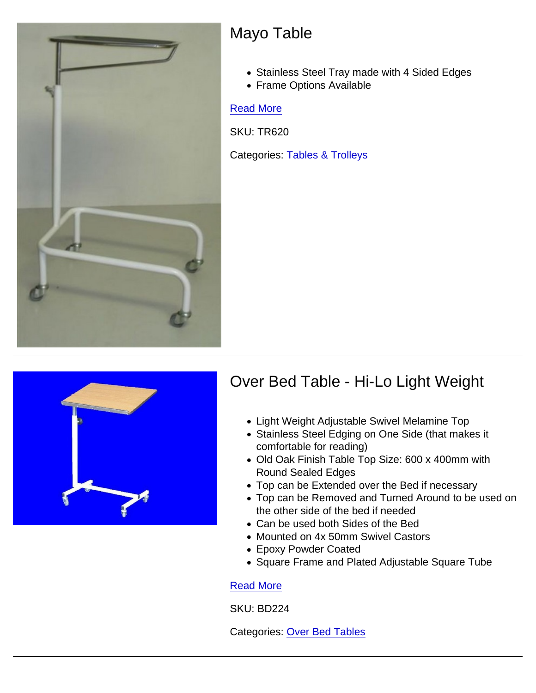## Mayo Table

- Stainless Steel Tray made with 4 Sided Edges
- Frame Options Available

#### [Read More](https://www.medicalmania.co.za/product/mayo-table/)

SKU: TR620

Categories: [Tables & Trolleys](https://www.medicalmania.co.za/product-category/furniture/tables-trolleys/)

### Over Bed Table - Hi-Lo Light Weight

- Light Weight Adjustable Swivel Melamine Top
- Stainless Steel Edging on One Side (that makes it comfortable for reading)
- Old Oak Finish Table Top Size: 600 x 400mm with Round Sealed Edges
- Top can be Extended over the Bed if necessary
- Top can be Removed and Turned Around to be used on the other side of the bed if needed
- Can be used both Sides of the Bed
- Mounted on 4x 50mm Swivel Castors
- Epoxy Powder Coated
- Square Frame and Plated Adjustable Square Tube

#### [Read More](https://www.medicalmania.co.za/product/over-bed-table-hi-lo-light-weight/)

SKU: BD224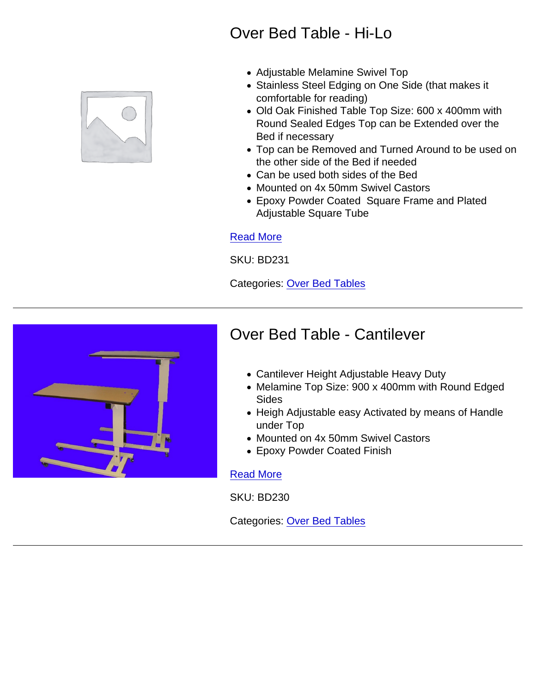## Over Bed Table - Hi-Lo

- Adjustable Melamine Swivel Top
- Stainless Steel Edging on One Side (that makes it comfortable for reading)
- Old Oak Finished Table Top Size: 600 x 400mm with Round Sealed Edges Top can be Extended over the Bed if necessary
- Top can be Removed and Turned Around to be used on the other side of the Bed if needed
- Can be used both sides of the Bed
- Mounted on 4x 50mm Swivel Castors
- Epoxy Powder Coated Square Frame and Plated Adjustable Square Tube

### [Read More](https://www.medicalmania.co.za/product/over-bed-table-hi-lo/)

SKU: BD231

Categories: [Over Bed Tables](https://www.medicalmania.co.za/product-category/furniture/tables-trolleys/over-bed-tables/)

### Over Bed Table - Cantilever

- Cantilever Height Adjustable Heavy Duty
- Melamine Top Size: 900 x 400mm with Round Edged Sides
- Heigh Adjustable easy Activated by means of Handle under Top
- Mounted on 4x 50mm Swivel Castors
- Epoxy Powder Coated Finish

#### [Read More](https://www.medicalmania.co.za/product/over-bed-table-cantilever/)

SKU: BD230